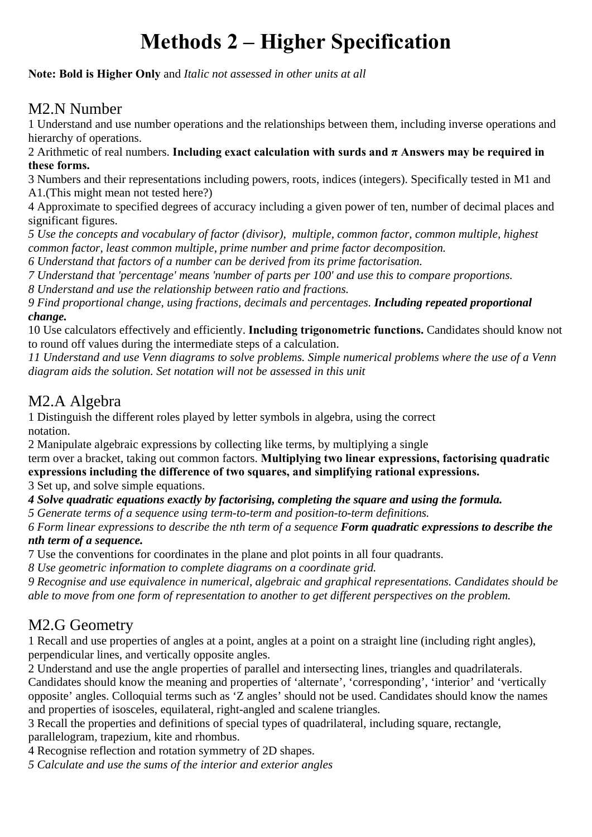## **Methods 2 – Higher Specification**

**Note: Bold is Higher Only** and *Italic not assessed in other units at all* 

## M2.N Number

1 Understand and use number operations and the relationships between them, including inverse operations and hierarchy of operations.

2 Arithmetic of real numbers. **Including exact calculation with surds and π Answers may be required in these forms.**

3 Numbers and their representations including powers, roots, indices (integers). Specifically tested in M1 and A1.(This might mean not tested here?)

4 Approximate to specified degrees of accuracy including a given power of ten, number of decimal places and significant figures.

*5 Use the concepts and vocabulary of factor (divisor), multiple, common factor, common multiple, highest common factor, least common multiple, prime number and prime factor decomposition.* 

*6 Understand that factors of a number can be derived from its prime factorisation.* 

*7 Understand that 'percentage' means 'number of parts per 100' and use this to compare proportions.* 

*8 Understand and use the relationship between ratio and fractions.* 

*9 Find proportional change, using fractions, decimals and percentages. Including repeated proportional change.*

10 Use calculators effectively and efficiently. **Including trigonometric functions.** Candidates should know not to round off values during the intermediate steps of a calculation.

*11 Understand and use Venn diagrams to solve problems. Simple numerical problems where the use of a Venn diagram aids the solution. Set notation will not be assessed in this unit* 

## M2.A Algebra

1 Distinguish the different roles played by letter symbols in algebra, using the correct notation.

2 Manipulate algebraic expressions by collecting like terms, by multiplying a single

term over a bracket, taking out common factors. **Multiplying two linear expressions, factorising quadratic expressions including the difference of two squares, and simplifying rational expressions.** 

3 Set up, and solve simple equations.

*4 Solve quadratic equations exactly by factorising, completing the square and using the formula.* 

*5 Generate terms of a sequence using term-to-term and position-to-term definitions.* 

*6 Form linear expressions to describe the nth term of a sequence Form quadratic expressions to describe the nth term of a sequence.*

7 Use the conventions for coordinates in the plane and plot points in all four quadrants.

*8 Use geometric information to complete diagrams on a coordinate grid.* 

*9 Recognise and use equivalence in numerical, algebraic and graphical representations. Candidates should be able to move from one form of representation to another to get different perspectives on the problem.* 

## M2.G Geometry

1 Recall and use properties of angles at a point, angles at a point on a straight line (including right angles), perpendicular lines, and vertically opposite angles.

2 Understand and use the angle properties of parallel and intersecting lines, triangles and quadrilaterals. Candidates should know the meaning and properties of 'alternate', 'corresponding', 'interior' and 'vertically

opposite' angles. Colloquial terms such as 'Z angles' should not be used. Candidates should know the names and properties of isosceles, equilateral, right-angled and scalene triangles.

3 Recall the properties and definitions of special types of quadrilateral, including square, rectangle, parallelogram, trapezium, kite and rhombus.

4 Recognise reflection and rotation symmetry of 2D shapes.

*5 Calculate and use the sums of the interior and exterior angles*